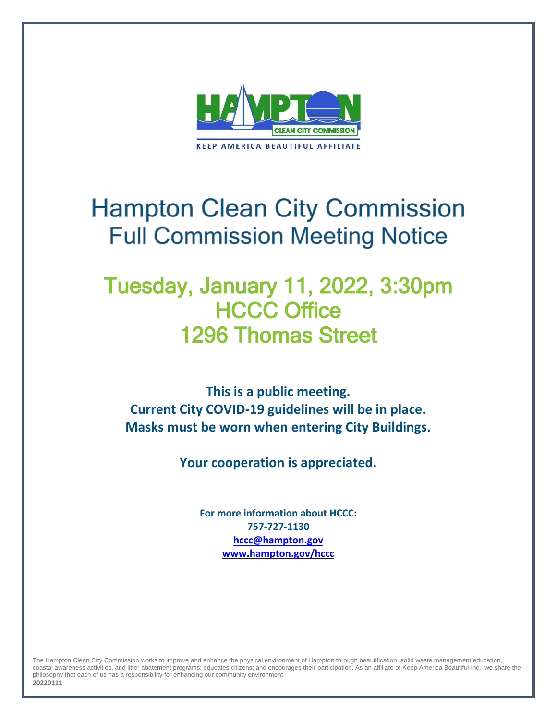

# **Hampton Clean City Commission Full Commission Meeting Notice**

# Tuesday, January 11, 2022, 3:30pm HCCC Office 1296 Thomas Street

**This is a public meeting. Current City COVID-19 guidelines will be in place. Masks must be worn when entering City Buildings.**

**Your cooperation is appreciated.**

**For more information about HCCC: 757-727-1130 [hccc@hampton.gov](mailto:hccc@hampton.gov) [www.hampton.gov/hccc](http://www.hampton.gov/hccc)**

The Hampton Clean City Commission works to improve and enhance the physical environment of Hampton through beautification, solid waste management education, coastal awareness activities, and litter abatement programs; educates citizens; and encourages their participation. As an affiliate o[f Keep America Beautiful Inc.,](http://www.kab.org/) we share the philosophy that each of us has a responsibility for enhancing our community environment.